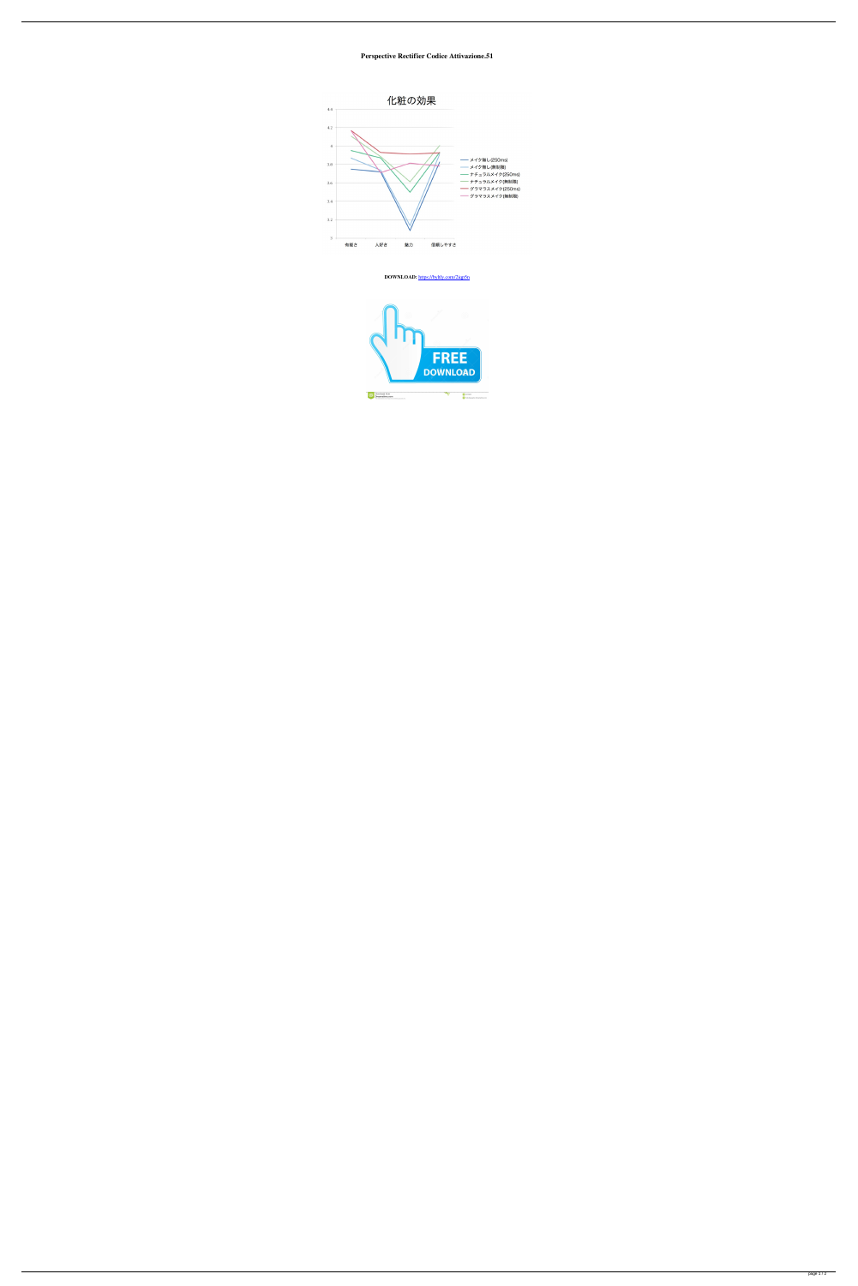**Perspective Rectifier Codice Attivazione.51**



**DOWNLOAD:** <https://byltly.com/2iqp5n>